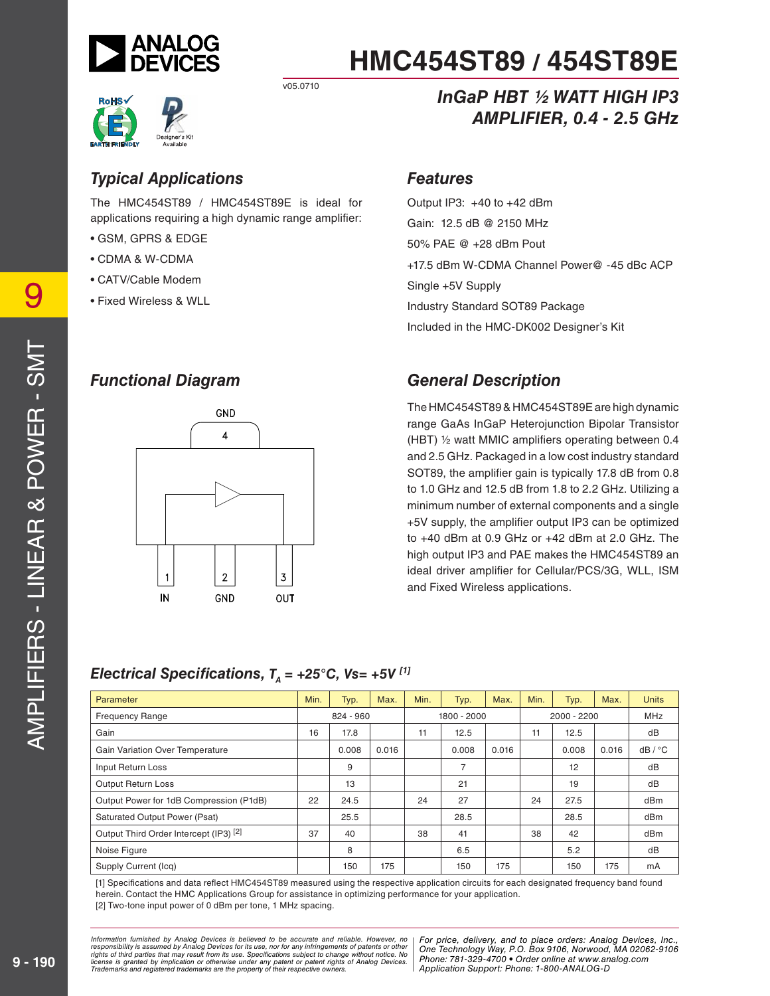



Designer's Kit<br>Available

v05.0710

# *Typical Applications*

The HMC454ST89 / HMC454ST89E is ideal for applications requiring a high dynamic range amplifier:

- GSM, GPRS & EDGE
- CDMA & W-CDMA
- CATV/Cable Modem
- Fixed Wireless & WLL

### *Functional Diagram*



# *InGaP HBT ½ WATT HIGH IP3 AMPLIFIER, 0.4 - 2.5 GHz*

#### *Features*

Output IP3: +40 to +42 dBm Gain: 12.5 dB @ 2150 MHz 50% PAE @ +28 dBm Pout +17.5 dBm W-CDMA Channel Power@ -45 dBc ACP Single +5V Supply Industry Standard SOT89 Package Included in the HMC-DK002 Designer's Kit

# *General Description*

The HMC454ST89 & HMC454ST89E are high dynamic range GaAs InGaP Heterojunction Bipolar Transistor (HBT)  $\frac{1}{2}$  watt MMIC amplifiers operating between 0.4 and 2.5 GHz. Packaged in a low cost industry standard SOT89, the amplifier gain is typically 17.8 dB from 0.8 to 1.0 GHz and 12.5 dB from 1.8 to 2.2 GHz. Utilizing a minimum number of external components and a single +5V supply, the amplifier output IP3 can be optimized to +40 dBm at 0.9 GHz or +42 dBm at 2.0 GHz. The high output IP3 and PAE makes the HMC454ST89 an ideal driver amplifier for Cellular/PCS/3G, WLL, ISM and Fixed Wireless applications.

### *Electrical Specifications,*  $T<sub>A</sub> = +25^{\circ}C$ *, Vs= +5V [1]*

| Parameter                               | Min. | Typ.      | Max.  | Min. | Typ.           | Max.  | Min. | Typ.          | Max.  | <b>Units</b> |
|-----------------------------------------|------|-----------|-------|------|----------------|-------|------|---------------|-------|--------------|
| <b>Frequency Range</b>                  |      | 824 - 960 |       |      | 1800 - 2000    |       |      | $2000 - 2200$ |       | <b>MHz</b>   |
| Gain                                    | 16   | 17.8      |       | 11   | 12.5           |       | 11   | 12.5          |       | dB           |
| <b>Gain Variation Over Temperature</b>  |      | 0.008     | 0.016 |      | 0.008          | 0.016 |      | 0.008         | 0.016 | dB / °C      |
| Input Return Loss                       |      | 9         |       |      | $\overline{7}$ |       |      | 12            |       | dB           |
| Output Return Loss                      |      | 13        |       |      | 21             |       |      | 19            |       | dB           |
| Output Power for 1dB Compression (P1dB) | 22   | 24.5      |       | 24   | 27             |       | 24   | 27.5          |       | dBm          |
| Saturated Output Power (Psat)           |      | 25.5      |       |      | 28.5           |       |      | 28.5          |       | dBm          |
| Output Third Order Intercept (IP3) [2]  | 37   | 40        |       | 38   | 41             |       | 38   | 42            |       | dBm          |
| Noise Figure                            |      | 8         |       |      | 6.5            |       |      | 5.2           |       | dB           |
| Supply Current (Icq)                    |      | 150       | 175   |      | 150            | 175   |      | 150           | 175   | mA           |

[1] Specifications and data reflect HMC454ST89 measured using the respective application circuits for each designated frequency band found herein. Contact the HMC Applications Group for assistance in optimizing performance for your application. [2] Two-tone input power of 0 dBm per tone, 1 MHz spacing.

mation furnished by Analog Devices is believed to be accurate and reliable. However, no Phor price, delivery, and to place orders: Analog Devices, In<br>onsibility is assumed by Analog Devices for its use not for any infringe y result from its use. Specifications subject to change without notice. No<br>stinn or otherwise under any patent or patent rights of Analog Devices Phone: 781-329-4700 • Order online at ww e the property of their respective owners. The Supplication Support: Phone: 1-80 *Information furnished by Analog Devices is believed to be accurate and reliable. However, no*  responsibility is assumed by Analog Devices for its use, nor for any infringements of patents or other<br>rights of third parties that may result from its use. Specifications subject to change without notice. No<br>license is gr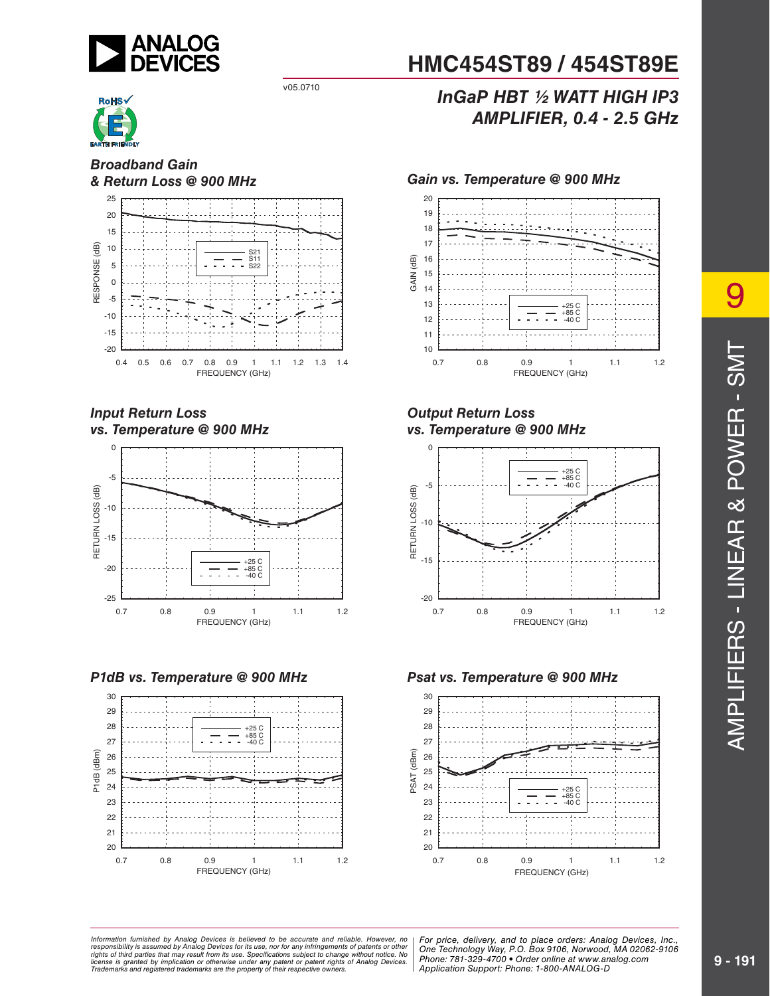



*Broadband Gain*



#### *Input Return Loss vs. Temperature @ 900 MHz*



*P1dB vs. Temperature @ 900 MHz Psat vs. Temperature @ 900 MHz*



# **HMC454ST89 / 454ST89E**

# v05.0710 *InGaP HBT ½ WATT HIGH IP3 AMPLIFIER, 0.4 - 2.5 GHz*



#### *Output Return Loss vs. Temperature @ 900 MHz*





mation furnished by Analog Devices is believed to be accurate and reliable. However, no | For price, delivery, and to place orders: Analog Devices, Inc.,<br>onsibility is assumed by Analog Devices for its use, nor for any inf y result from its use. Specifications subject to change without notice. No<br>stinn or otherwise under any patent or patent rights of Analog Devices Phone: 781-329-4700 • Order online at ww e the property of their respective owners. The Supplication Support: Phone: 1-80 *Information furnished by Analog Devices is believed to be accurate and reliable. However, no*  responsibility is assumed by Analog Devices for its use, nor for any infringements of patents or other<br>rights of third parties that may result from its use. Specifications subject to change without notice. No<br>license is gr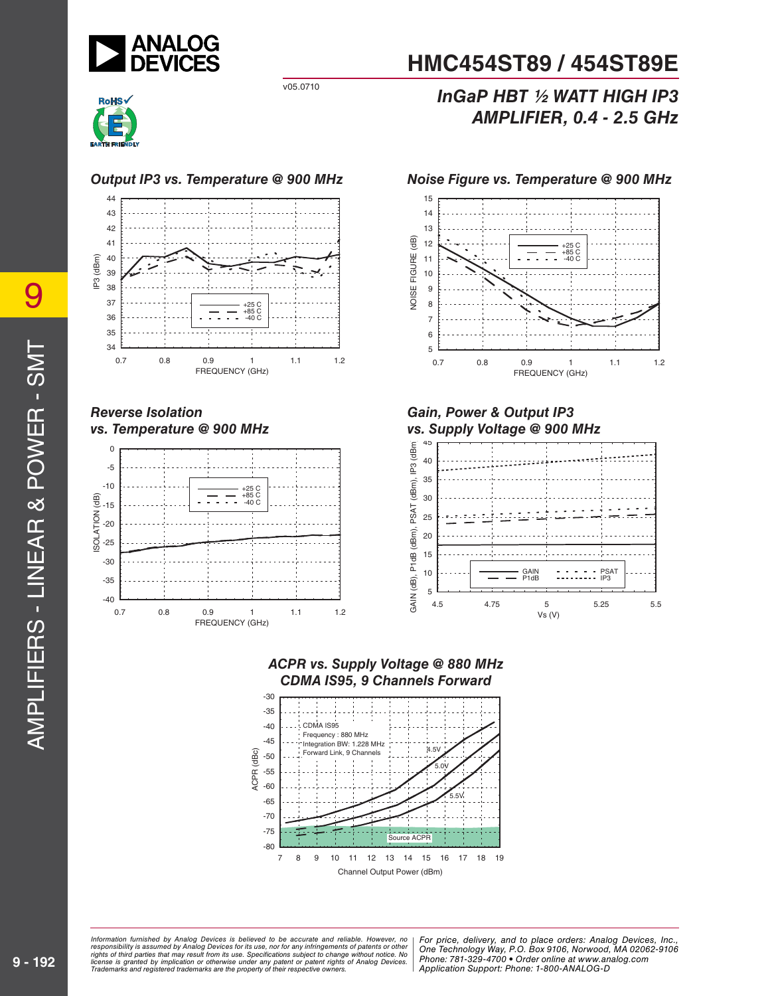



#### *Output IP3 vs. Temperature @ 900 MHz Noise Figure vs. Temperature @ 900 MHz*



#### *Reverse Isolation vs. Temperature @ 900 MHz*



# **HMC454ST89 / 454ST89E**

# v05.0710 *InGaP HBT ½ WATT HIGH IP3 AMPLIFIER, 0.4 - 2.5 GHz*



#### *Gain, Power & Output IP3 vs. Supply Voltage @ 900 MHz*







#### mation furnished by Analog Devices is believed to be accurate and reliable. However, no | For price, delivery, and to place orders: Analog Devices, Inc.,<br>onsibility is assumed by Analog Devices for its use, nor for any inf y result from its use. Specifications subject to change without notice. No<br>stinn or otherwise under any patent or patent rights of Analog Devices Phone: 781-329-4700 • Order online at ww e the property of their respective owners. The Supplication Support: Phone: 1-80 *Information furnished by Analog Devices is believed to be accurate and reliable. However, no*  responsibility is assumed by Analog Devices for its use, nor for any infringements of patents or other<br>rights of third parties that may result from its use. Specifications subject to change without notice. No<br>license is gr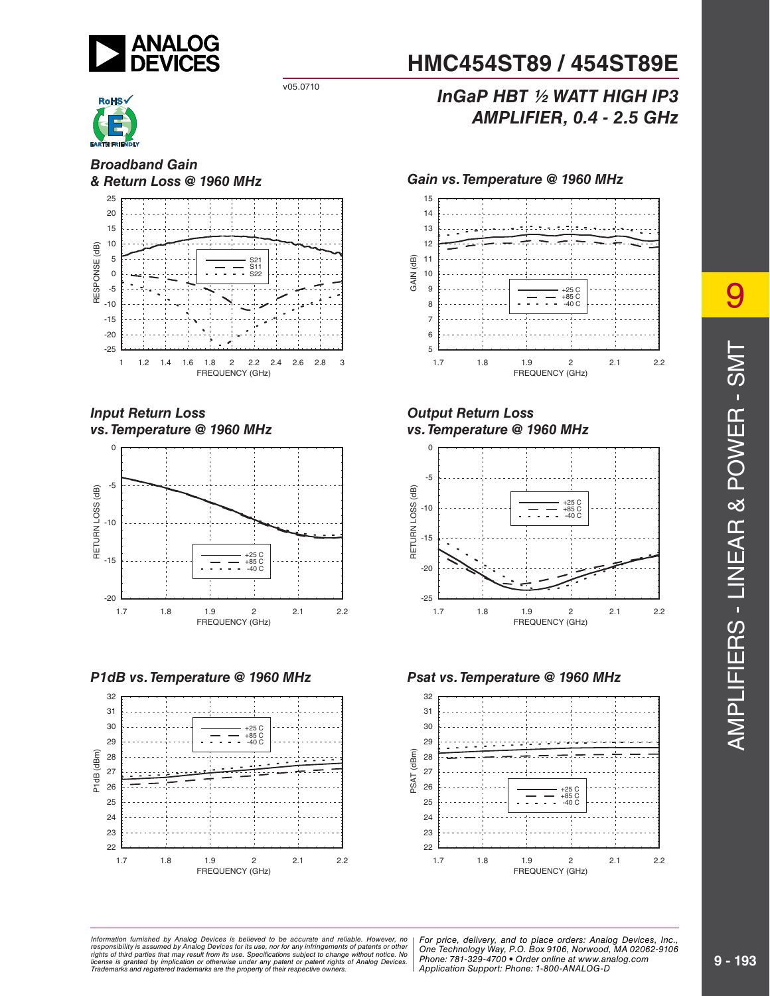



*Broadband Gain*



#### *Input Return Loss vs. Temperature @ 1960 MHz*



#### *P1dB vs. Temperature @ 1960 MHz Psat vs. Temperature @ 1960 MHz*



# **HMC454ST89 / 454ST89E**

# v05.0710 *InGaP HBT ½ WATT HIGH IP3 AMPLIFIER, 0.4 - 2.5 GHz*



#### *Output Return Loss vs. Temperature @ 1960 MHz*





mation furnished by Analog Devices is believed to be accurate and reliable. However, no | For price, delivery, and to place orders: Analog Devices, Inc.,<br>onsibility is assumed by Analog Devices for its use, nor for any inf y result from its use. Specifications subject to change without notice. No<br>stinn or otherwise under any patent or patent rights of Analog Devices Phone: 781-329-4700 • Order online at ww e the property of their respective owners. The Supplication Support: Phone: 1-80 *Information furnished by Analog Devices is believed to be accurate and reliable. However, no*  responsibility is assumed by Analog Devices for its use, nor for any infringements of patents or other<br>rights of third parties that may result from its use. Specifications subject to change without notice. No<br>license is gr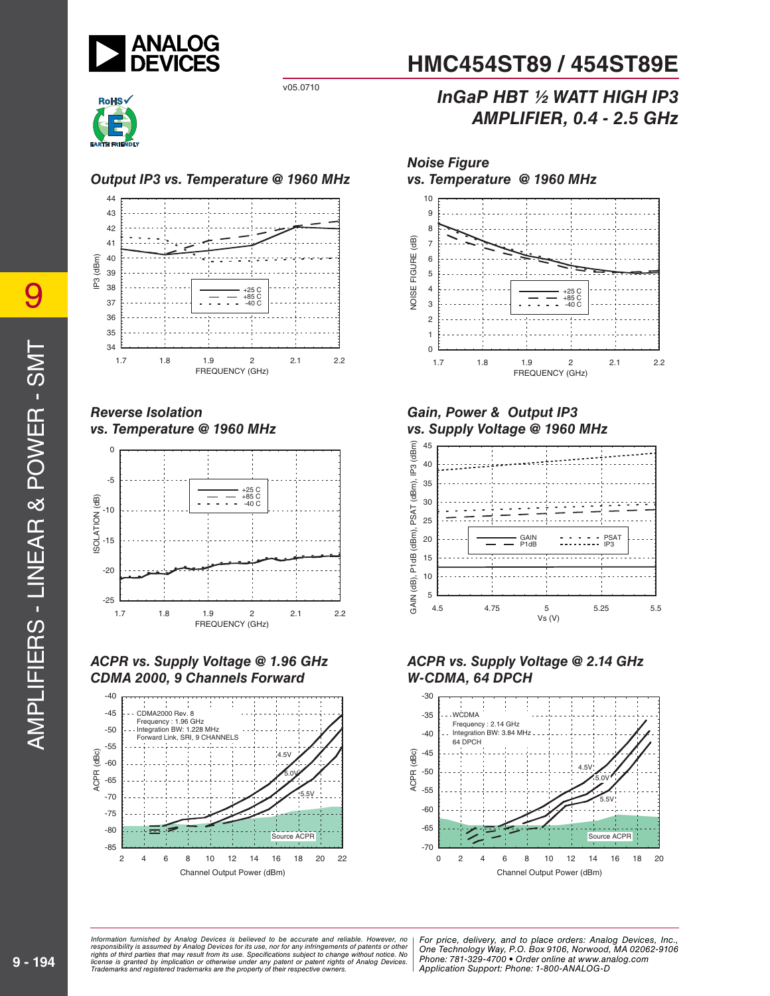



#### *Output IP3 vs. Temperature @ 1960 MHz*



#### *Reverse Isolation vs. Temperature @ 1960 MHz*



#### *ACPR vs. Supply Voltage @ 1.96 GHz CDMA 2000, 9 Channels Forward*



# **HMC454ST89 / 454ST89E**

# v05.0710 *InGaP HBT ½ WATT HIGH IP3 AMPLIFIER, 0.4 - 2.5 GHz*



#### *Gain, Power & Output IP3 vs. Supply Voltage @ 1960 MHz*







mation furnished by Analog Devices is believed to be accurate and reliable. However, no Phor price, delivery, and to place orders: Analog Devices, In<br>onsibility is assumed by Analog Devices for its use not for any infringe y result from its use. Specifications subject to change without notice. No<br>stinn or otherwise under any patent or patent rights of Analog Devices Phone: 781-329-4700 • Order online at ww e the property of their respective owners. The Supplication Support: Phone: 1-80 *Information furnished by Analog Devices is believed to be accurate and reliable. However, no*  responsibility is assumed by Analog Devices for its use, nor for any infringements of patents or other<br>rights of third parties that may result from its use. Specifications subject to change without notice. No<br>license is gr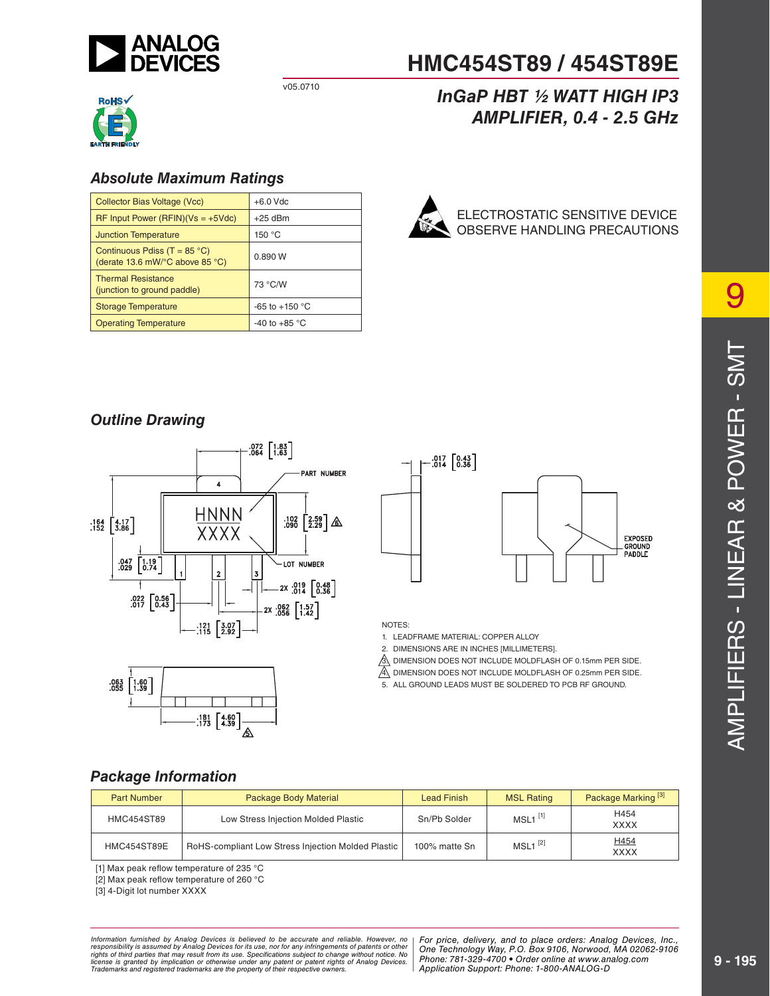



### *Absolute Maximum Ratings*

| Collector Bias Voltage (Vcc)                                                                | $+6.0$ Vdc               |
|---------------------------------------------------------------------------------------------|--------------------------|
| $RF$ Input Power (RFIN)(Vs = +5Vdc)                                                         | $+25$ dBm                |
| <b>Junction Temperature</b>                                                                 | 150 $\degree$ C          |
| Continuous Pdiss (T = $85^{\circ}$ C)<br>(derate 13.6 mW/ $\degree$ C above 85 $\degree$ C) | 0.890 W                  |
| <b>Thermal Resistance</b><br>(junction to ground paddle)                                    | 73 °C/W                  |
| <b>Storage Temperature</b>                                                                  | -65 to +150 $^{\circ}$ C |
| <b>Operating Temperature</b>                                                                | -40 to +85 $\degree$ C   |

# **HMC454ST89 / 454ST89E**

# v05.0710 *InGaP HBT ½ WATT HIGH IP3 AMPLIFIER, 0.4 - 2.5 GHz*



## *Outline Drawing*







NOTES:

1. LEADFRAME MATERIAL: COPPER ALLOY

2. DIMENSIONS ARE IN INCHES [MILLIMETERS].

3. DIMENSION DOES NOT INCLUDE MOLDFLASH OF 0.15mm PER SIDE.

4. DIMENSION DOES NOT INCLUDE MOLDFLASH OF 0.25mm PER SIDE.

5. ALL GROUND LEADS MUST BE SOLDERED TO PCB RF GROUND.

### *Package Information*

| <b>Part Number</b> | Package Body Material                              | <b>Lead Finish</b> | <b>MSL Rating</b>     | Package Marking <sup>[3]</sup> |
|--------------------|----------------------------------------------------|--------------------|-----------------------|--------------------------------|
| <b>HMC454ST89</b>  | Low Stress Injection Molded Plastic                | Sn/Pb Solder       | $MSL1$ <sup>[1]</sup> | H454<br><b>XXXX</b>            |
| <b>HMC454ST89E</b> | RoHS-compliant Low Stress Injection Molded Plastic | 100% matte Sn      | $MSL1^{[2]}$          | H454<br><b>XXXX</b>            |

[1] Max peak reflow temperature of 235  $^{\circ}$ C

[2] Max peak reflow temperature of 260 °C

[3] 4-Digit lot number XXXX

mation furnished by Analog Devices is believed to be accurate and reliable. However, no Phor price, delivery, and to place orders: Analog Devices, In<br>onsibility is assumed by Analog Devices for its use not for any infringe y result from its use. Specifications subject to change without notice. No<br>stinn or otherwise under any patent or patent rights of Analog Devices Phone: 781-329-4700 • Order online at ww e the property of their respective owners. The Supplication Support: Phone: 1-80 Information furnished by Analog Devices is believed to be accurate and reliable. However, no<br>responsibility is assumed by Analog Devices for its use, nor for any infringements of patents or other<br>rights of third parties th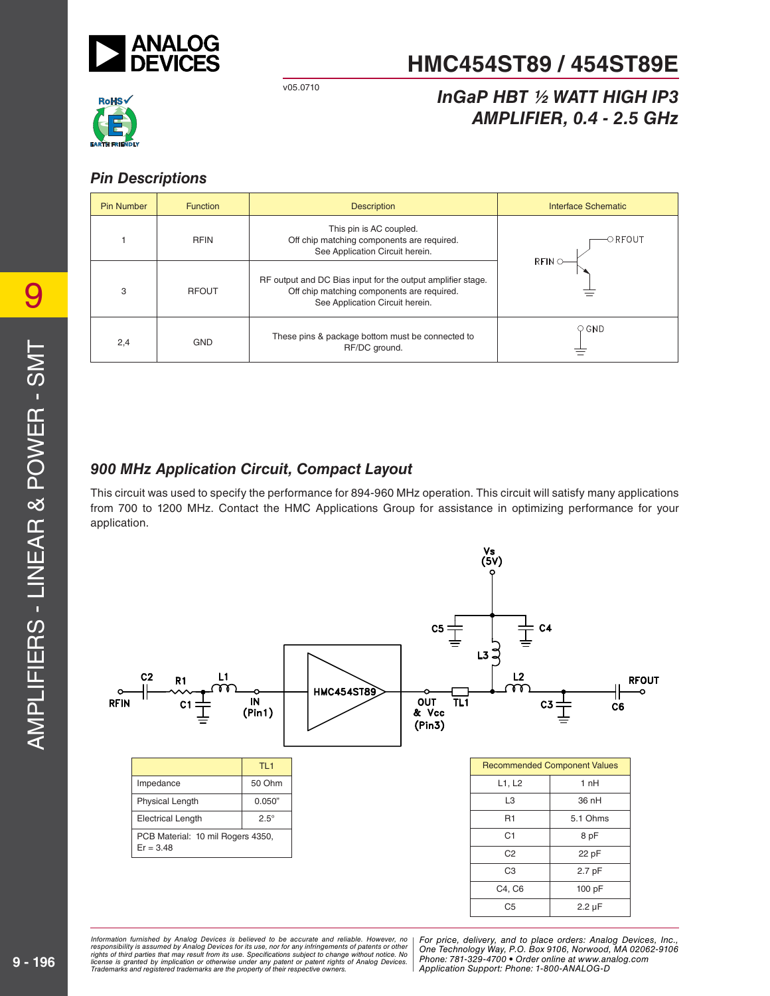

# v05.0710 *InGaP HBT ½ WATT HIGH IP3 AMPLIFIER, 0.4 - 2.5 GHz*



### *Pin Descriptions*

| Pin Number | <b>Function</b> | <b>Description</b>                                                                                                                           | Interface Schematic |
|------------|-----------------|----------------------------------------------------------------------------------------------------------------------------------------------|---------------------|
|            | <b>RFIN</b>     | This pin is AC coupled.<br>Off chip matching components are required.<br>See Application Circuit herein.                                     | –○ RFOUT<br>RFIN    |
| 3          | <b>RFOUT</b>    | RF output and DC Bias input for the output amplifier stage.<br>Off chip matching components are required.<br>See Application Circuit herein. |                     |
| 2,4        | <b>GND</b>      | These pins & package bottom must be connected to<br>RF/DC ground.                                                                            | $\circ$ GND         |

# *900 MHz Application Circuit, Compact Layout*

This circuit was used to specify the performance for 894-960 MHz operation. This circuit will satisfy many applications from 700 to 1200 MHz. Contact the HMC Applications Group for assistance in optimizing performance for your application.



mation furnished by Analog Devices is believed to be accurate and reliable. However, no | For price, delivery, and to place orders: Analog Devices, Inc.,<br>onsibility is assumed by Analog Devices for its use, nor for any inf y result from its use. Specifications subject to change without notice. No<br>stinn or otherwise under any patent or patent rights of Analog Devices Phone: 781-329-4700 • Order online at ww e the property of their respective owners. The Supplication Support: Phone: 1-80 *Information furnished by Analog Devices is believed to be accurate and reliable. However, no*  responsibility is assumed by Analog Devices for its use, nor for any infringements of patents or other<br>rights of third parties that may result from its use. Specifications subject to change without notice. No<br>license is gr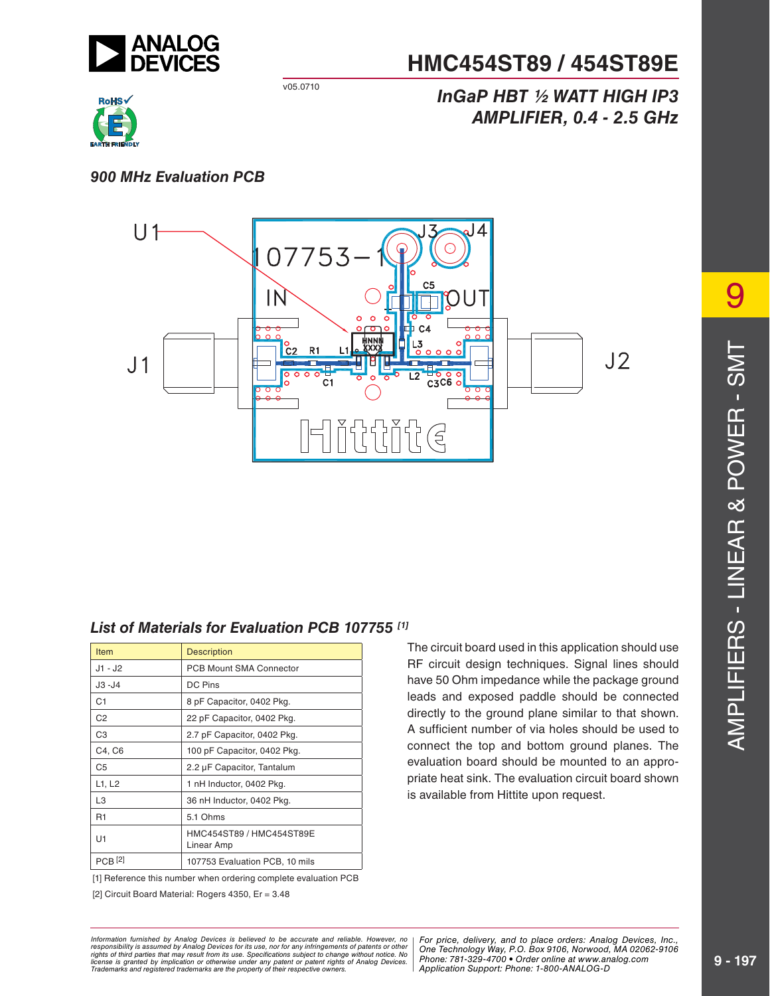

# v05.0710 *InGaP HBT ½ WATT HIGH IP3 AMPLIFIER, 0.4 - 2.5 GHz*



#### *900 MHz Evaluation PCB*



### *List of Materials for Evaluation PCB 107755 [1]*

| <b>Item</b>    | <b>Description</b>                     |
|----------------|----------------------------------------|
| $J1 - J2$      | <b>PCB Mount SMA Connector</b>         |
| $J3 - J4$      | <b>DC Pins</b>                         |
| C1             | 8 pF Capacitor, 0402 Pkg.              |
| C <sub>2</sub> | 22 pF Capacitor, 0402 Pkg.             |
| C <sub>3</sub> | 2.7 pF Capacitor, 0402 Pkg.            |
| C4, C6         | 100 pF Capacitor, 0402 Pkg.            |
| C5             | 2.2 µF Capacitor, Tantalum             |
| L1, L2         | 1 nH Inductor, 0402 Pkg.               |
| L <sub>3</sub> | 36 nH Inductor, 0402 Pkg.              |
| R <sub>1</sub> | 5.1 Ohms                               |
| U1             | HMC454ST89 / HMC454ST89E<br>Linear Amp |
| <b>PCB</b> [2] | 107753 Evaluation PCB, 10 mils         |

[1] Reference this number when ordering complete evaluation PCB

[2] Circuit Board Material: Rogers 4350, Er = 3.48

The circuit board used in this application should use RF circuit design techniques. Signal lines should have 50 Ohm impedance while the package ground leads and exposed paddle should be connected directly to the ground plane similar to that shown. A sufficient number of via holes should be used to connect the top and bottom ground planes. The evaluation board should be mounted to an appropriate heat sink. The evaluation circuit board shown is available from Hittite upon request.

AMPLIFIERS - LINEAR & POWER - SMT AMPLIFIERS - LINEAR & POWER - SMT

9

mation furnished by Analog Devices is believed to be accurate and reliable. However, no | For price, delivery, and to place orders: Analog Devices, Inc.,<br>onsibility is assumed by Analog Devices for its use, nor for any inf y result from its use. Specifications subject to change without notice. No<br>stinn or otherwise under any patent or patent rights of Analog Devices Phone: 781-329-4700 • Order online at ww e the property of their respective owners. The Supplication Support: Phone: 1-80 *Information furnished by Analog Devices is believed to be accurate and reliable. However, no*  responsibility is assumed by Analog Devices for its use, nor for any infringements of patents or other<br>rights of third parties that may result from its use. Specifications subject to change without notice. No<br>license is gr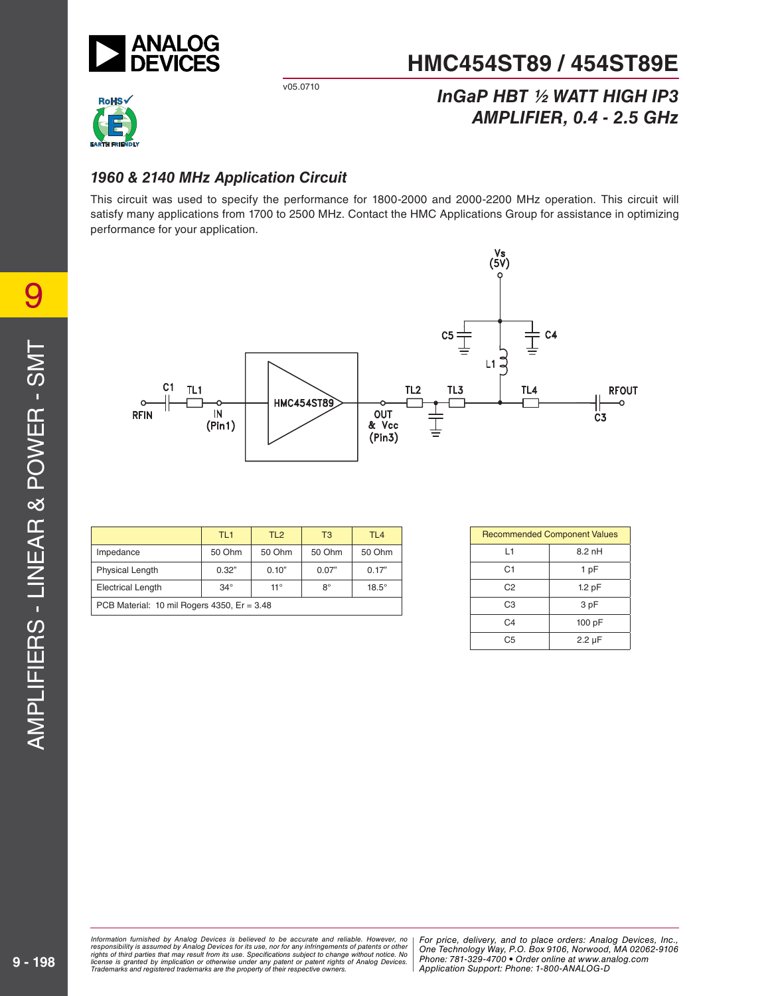

# v05.0710 *InGaP HBT ½ WATT HIGH IP3 AMPLIFIER, 0.4 - 2.5 GHz*



## *1960 & 2140 MHz Application Circuit*

This circuit was used to specify the performance for 1800-2000 and 2000-2200 MHz operation. This circuit will satisfy many applications from 1700 to 2500 MHz. Contact the HMC Applications Group for assistance in optimizing performance for your application.



|                                               | TL <sub>1</sub> | TL <sub>2</sub> | T3          | TL <sub>4</sub> |
|-----------------------------------------------|-----------------|-----------------|-------------|-----------------|
| Impedance                                     | 50 Ohm          | 50 Ohm          | 50 Ohm      | 50 Ohm          |
| Physical Length                               | 0.32"           | 0.10"           | 0.07"       | 0.17"           |
| <b>Electrical Length</b>                      | $34^\circ$      | $11^{\circ}$    | $8^{\circ}$ | $18.5^\circ$    |
| PCB Material: 10 mil Rogers 4350, $Er = 3.48$ |                 |                 |             |                 |

| <b>Recommended Component Values</b> |                   |  |  |
|-------------------------------------|-------------------|--|--|
| l 1                                 | $8.2$ nH          |  |  |
| C <sub>1</sub>                      | 1 pF              |  |  |
| C <sub>2</sub>                      | 1.2 <sub>pF</sub> |  |  |
| C <sub>3</sub>                      | 3 pF              |  |  |
| C4                                  | 100 pF            |  |  |
| C.5                                 | $2.2 \mu F$       |  |  |

mation furnished by Analog Devices is believed to be accurate and reliable. However, no | For price, delivery, and to place orders: Analog Devices, Inc.,<br>onsibility is assumed by Analog Devices for its use, nor for any inf y result from its use. Specifications subject to change without notice. No<br>stinn or otherwise under any patent or patent rights of Analog Devices Phone: 781-329-4700 • Order online at ww e the property of their respective owners. The Supplication Support: Phone: 1-80 *Information furnished by Analog Devices is believed to be accurate and reliable. However, no*  responsibility is assumed by Analog Devices for its use, nor for any infringements of patents or other<br>rights of third parties that may result from its use. Specifications subject to change without notice. No<br>license is gr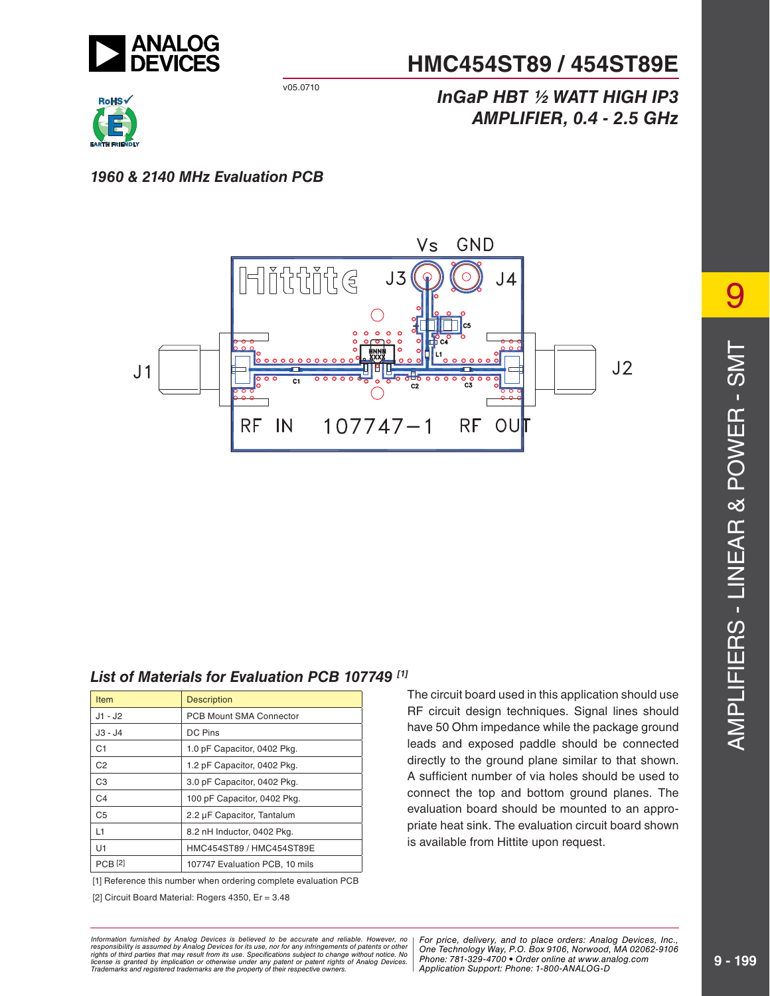

# v05.0710 *InGaP HBT ½ WATT HIGH IP3 AMPLIFIER, 0.4 - 2.5 GHz*



### *1960 & 2140 MHz Evaluation PCB*



### *List of Materials for Evaluation PCB 107749 [1]*

| <b>Item</b>    | <b>Description</b>             |
|----------------|--------------------------------|
| $J1 - J2$      | <b>PCB Mount SMA Connector</b> |
| $J3 - J4$      | <b>DC Pins</b>                 |
| C <sub>1</sub> | 1.0 pF Capacitor, 0402 Pkg.    |
| C <sub>2</sub> | 1.2 pF Capacitor, 0402 Pkg.    |
| C <sub>3</sub> | 3.0 pF Capacitor, 0402 Pkg.    |
| C <sub>4</sub> | 100 pF Capacitor, 0402 Pkg.    |
| C <sub>5</sub> | 2.2 µF Capacitor, Tantalum     |
| 11             | 8.2 nH Inductor, 0402 Pkg.     |
| U1             | HMC454ST89 / HMC454ST89E       |
| <b>PCB</b> [2] | 107747 Evaluation PCB, 10 mils |

[1] Reference this number when ordering complete evaluation PCB

[2] Circuit Board Material: Rogers 4350, Er = 3.48

The circuit board used in this application should use RF circuit design techniques. Signal lines should have 50 Ohm impedance while the package ground leads and exposed paddle should be connected directly to the ground plane similar to that shown. A sufficient number of via holes should be used to connect the top and bottom ground planes. The evaluation board should be mounted to an appropriate heat sink. The evaluation circuit board shown is available from Hittite upon request.

9 AMPLIFIERS - LINEAR & POWER - SMT AMPLIFIERS - LINEAR & POWER - SMT

mation furnished by Analog Devices is believed to be accurate and reliable. However, no | For price, delivery, and to place orders: Analog Devices, Inc.,<br>onsibility is assumed by Analog Devices for its use, nor for any inf y result from its use. Specifications subject to change without notice. No<br>stinn or otherwise under any patent or patent rights of Analog Devices Phone: 781-329-4700 • Order online at ww e the property of their respective owners. The Supplication Support: Phone: 1-80 *Information furnished by Analog Devices is believed to be accurate and reliable. However, no*  responsibility is assumed by Analog Devices for its use, nor for any infringements of patents or other<br>rights of third parties that may result from its use. Specifications subject to change without notice. No<br>license is gr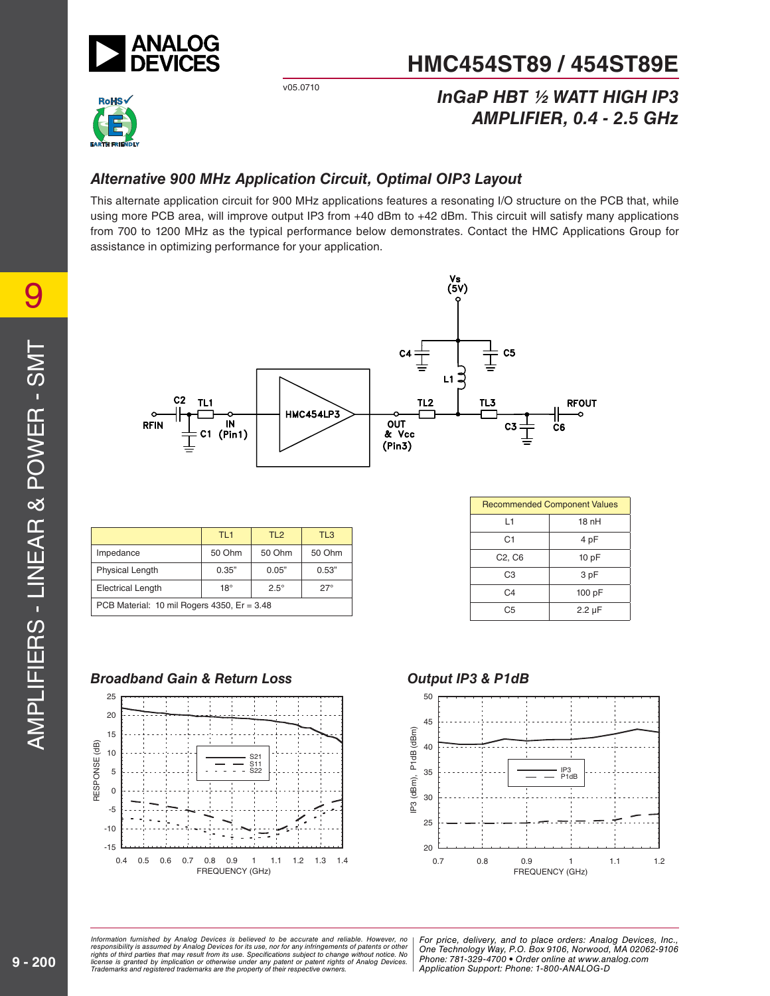

# v05.0710 *InGaP HBT ½ WATT HIGH IP3 AMPLIFIER, 0.4 - 2.5 GHz*



# *Alternative 900 MHz Application Circuit, Optimal OIP3 Layout*

This alternate application circuit for 900 MHz applications features a resonating I/O structure on the PCB that, while using more PCB area, will improve output IP3 from +40 dBm to +42 dBm. This circuit will satisfy many applications from 700 to 1200 MHz as the typical performance below demonstrates. Contact the HMC Applications Group for assistance in optimizing performance for your application.



|                                               | TL <sub>1</sub> | TL <sub>2</sub> | TL <sub>3</sub> |  |
|-----------------------------------------------|-----------------|-----------------|-----------------|--|
| Impedance                                     | 50 Ohm          | 50 Ohm          | 50 Ohm          |  |
| <b>Physical Length</b>                        | 0.35"           | 0.05"           | 0.53"           |  |
| <b>Electrical Length</b>                      | $18^{\circ}$    | $2.5^\circ$     | $27^\circ$      |  |
| PCB Material: 10 mil Rogers 4350, $Er = 3.48$ |                 |                 |                 |  |

| <b>Recommended Component Values</b> |             |  |
|-------------------------------------|-------------|--|
| L1                                  | 18nH        |  |
| C <sub>1</sub>                      | 4 pF        |  |
| C <sub>2</sub> , C <sub>6</sub>     | 10pF        |  |
| C <sub>3</sub>                      | 3 pF        |  |
| C4                                  | 100 pF      |  |
| C <sub>5</sub>                      | $2.2 \mu F$ |  |

#### *Broadband Gain & Return Loss* 25 20 15 RESPONSE (dB) RESPONSE (dB) 10 S21 s11<br>S22  $\blacksquare$ 5 0

# -15 -10 -5 0.4 0.5 0.6 0.7 0.8 0.9 1 1.1 1.2 1.3 1.4 FREQUENCY (GHz)

#### *Output IP3 & P1dB*



mation furnished by Analog Devices is believed to be accurate and reliable. However, no Phor price, delivery, and to place orders: Analog Devices, In<br>onsibility is assumed by Analog Devices for its use not for any infringe y result from its use. Specifications subject to change without notice. No<br>stinn or otherwise under any patent or patent rights of Analog Devices Phone: 781-329-4700 • Order online at ww e the property of their respective owners. The Supplication Support: Phone: 1-80 *Information furnished by Analog Devices is believed to be accurate and reliable. However, no*  responsibility is assumed by Analog Devices for its use, nor for any infringements of patents or other<br>rights of third parties that may result from its use. Specifications subject to change without notice. No<br>license is gr